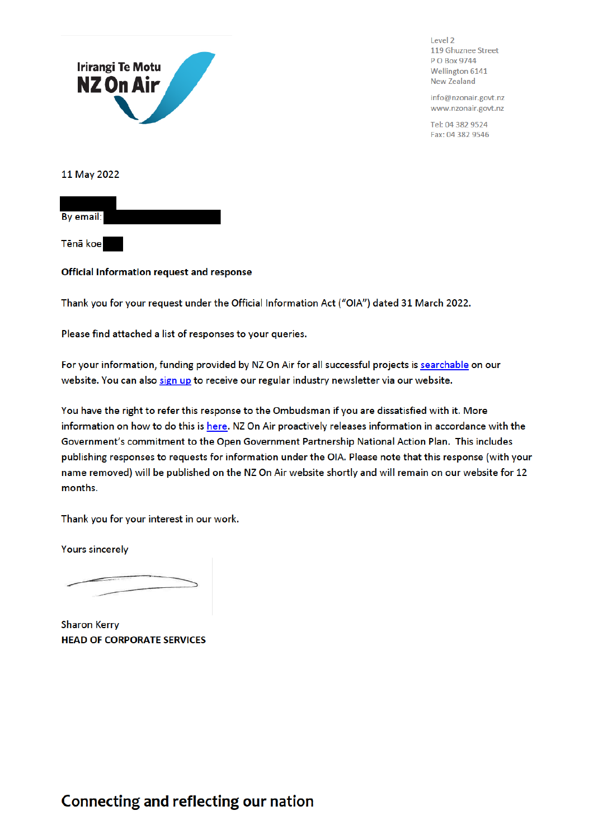

Level 2 119 Ghuznee Street P O Box 9744 Wellington 6141 **New Zealand** 

info@nzonair.govt.nz www.nzonair.govt.nz

Tel: 04 382 9524 Fax: 04 382 9546

11 May 2022

By email:

Tēnā koe

## Official Information request and response

Thank you for your request under the Official Information Act ("OIA") dated 31 March 2022.

Please find attached a list of responses to your queries.

For your information, funding provided by NZ On Air for all successful projects is searchable on our website. You can also sign up to receive our regular industry newsletter via our website.

You have the right to refer this response to the Ombudsman if you are dissatisfied with it. More information on how to do this is here. NZ On Air proactively releases information in accordance with the Government's commitment to the Open Government Partnership National Action Plan. This includes publishing responses to requests for information under the OIA. Please note that this response (with your name removed) will be published on the NZ On Air website shortly and will remain on our website for 12 months.

Thank you for your interest in our work.

**Yours sincerely** 

**Sharon Kerry HEAD OF CORPORATE SERVICES** 

## Connecting and reflecting our nation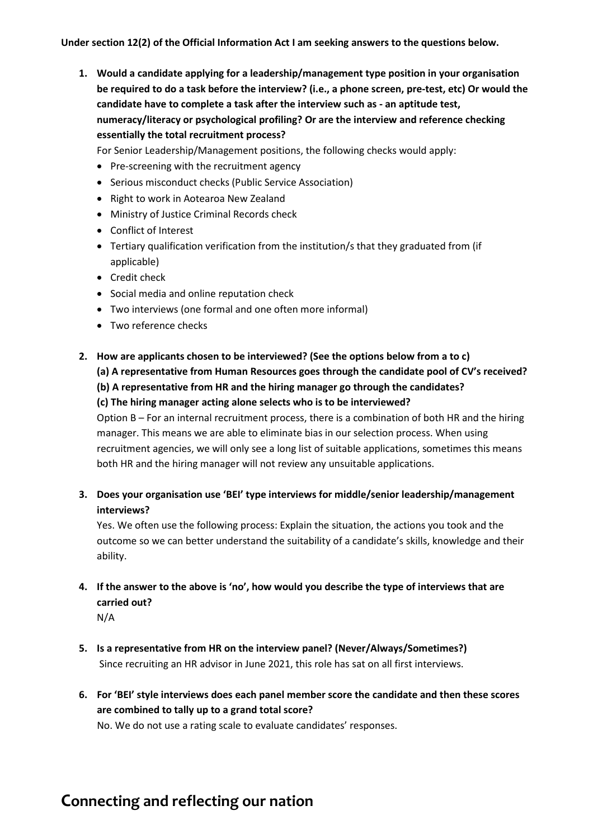**Under section 12(2) of the Official Information Act I am seeking answers to the questions below.** 

**1. Would a candidate applying for a leadership/management type position in your organisation be required to do a task before the interview? (i.e., a phone screen, pre-test, etc) Or would the candidate have to complete a task after the interview such as - an aptitude test, numeracy/literacy or psychological profiling? Or are the interview and reference checking essentially the total recruitment process?**

For Senior Leadership/Management positions, the following checks would apply:

- Pre-screening with the recruitment agency
- Serious misconduct checks (Public Service Association)
- Right to work in Aotearoa New Zealand
- Ministry of Justice Criminal Records check
- Conflict of Interest
- Tertiary qualification verification from the institution/s that they graduated from (if applicable)
- Credit check
- Social media and online reputation check
- Two interviews (one formal and one often more informal)
- Two reference checks
- **2. How are applicants chosen to be interviewed? (See the options below from a to c) (a) A representative from Human Resources goes through the candidate pool of CV's received? (b) A representative from HR and the hiring manager go through the candidates? (c) The hiring manager acting alone selects who is to be interviewed?**

Option B – For an internal recruitment process, there is a combination of both HR and the hiring manager. This means we are able to eliminate bias in our selection process. When using recruitment agencies, we will only see a long list of suitable applications, sometimes this means both HR and the hiring manager will not review any unsuitable applications.

**3. Does your organisation use 'BEI' type interviews for middle/senior leadership/management interviews?**

Yes. We often use the following process: Explain the situation, the actions you took and the outcome so we can better understand the suitability of a candidate's skills, knowledge and their ability.

**4. If the answer to the above is 'no', how would you describe the type of interviews that are carried out?**

N/A

- **5. Is a representative from HR on the interview panel? (Never/Always/Sometimes?)** Since recruiting an HR advisor in June 2021, this role has sat on all first interviews.
- **6. For 'BEI' style interviews does each panel member score the candidate and then these scores are combined to tally up to a grand total score?**

No. We do not use a rating scale to evaluate candidates' responses.

## **Connecting and reflecting our nation**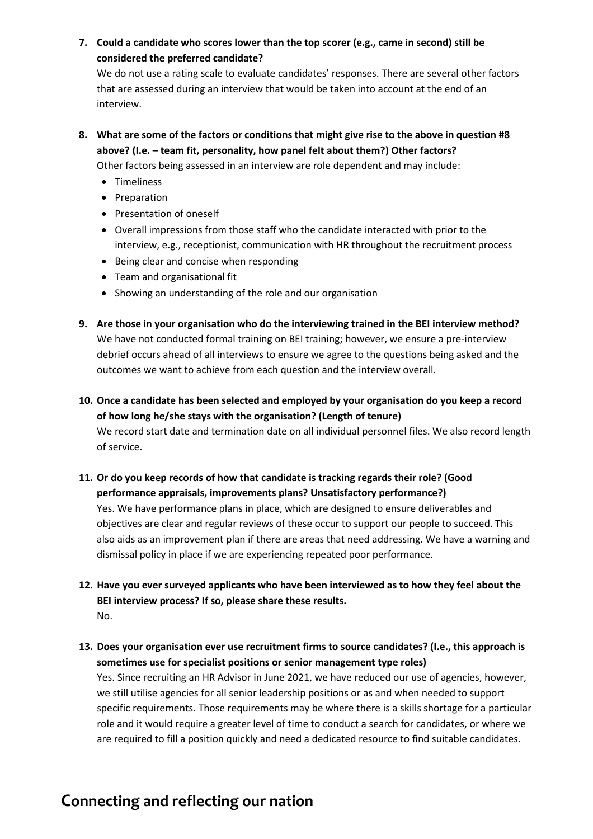**7. Could a candidate who scores lower than the top scorer (e.g., came in second) still be considered the preferred candidate?**

We do not use a rating scale to evaluate candidates' responses. There are several other factors that are assessed during an interview that would be taken into account at the end of an interview.

**8. What are some of the factors or conditions that might give rise to the above in question #8 above? (I.e. – team fit, personality, how panel felt about them?) Other factors?**

Other factors being assessed in an interview are role dependent and may include:

- Timeliness
- Preparation
- Presentation of oneself
- Overall impressions from those staff who the candidate interacted with prior to the interview, e.g., receptionist, communication with HR throughout the recruitment process
- Being clear and concise when responding
- Team and organisational fit
- Showing an understanding of the role and our organisation
- **9. Are those in your organisation who do the interviewing trained in the BEI interview method?** We have not conducted formal training on BEI training; however, we ensure a pre-interview debrief occurs ahead of all interviews to ensure we agree to the questions being asked and the outcomes we want to achieve from each question and the interview overall.
- **10. Once a candidate has been selected and employed by your organisation do you keep a record of how long he/she stays with the organisation? (Length of tenure)** We record start date and termination date on all individual personnel files. We also record length of service.
- **11. Or do you keep records of how that candidate is tracking regards their role? (Good performance appraisals, improvements plans? Unsatisfactory performance?)**

Yes. We have performance plans in place, which are designed to ensure deliverables and objectives are clear and regular reviews of these occur to support our people to succeed. This also aids as an improvement plan if there are areas that need addressing. We have a warning and dismissal policy in place if we are experiencing repeated poor performance.

- **12. Have you ever surveyed applicants who have been interviewed as to how they feel about the BEI interview process? If so, please share these results.** No.
- **13. Does your organisation ever use recruitment firms to source candidates? (I.e., this approach is sometimes use for specialist positions or senior management type roles)** Yes. Since recruiting an HR Advisor in June 2021, we have reduced our use of agencies, however, we still utilise agencies for all senior leadership positions or as and when needed to support specific requirements. Those requirements may be where there is a skills shortage for a particular role and it would require a greater level of time to conduct a search for candidates, or where we are required to fill a position quickly and need a dedicated resource to find suitable candidates.

## **Connecting and reflecting our nation**